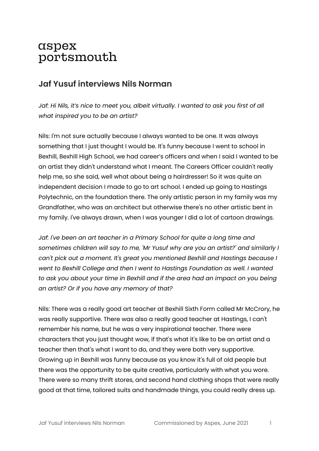# aspex portsmouth

## **Jaf Yusuf interviews Nils Norman**

*Jaf: Hi Nils, it's nice to meet you, albeit virtually. I wanted to ask you first of all what inspired you to be an artist?*

Nils: I'm not sure actually because I always wanted to be one. It was always something that I just thought I would be. It's funny because I went to school in Bexhill, Bexhill High School, we had career's officers and when I said I wanted to be an artist they didn't understand what I meant. The Careers Officer couldn't really help me, so she said, well what about being a hairdresser! So it was quite an independent decision I made to go to art school. I ended up going to Hastings Polytechnic, on the foundation there. The only artistic person in my family was my Grandfather, who was an architect but otherwise there's no other artistic bent in my family. I've always drawn, when I was younger I did a lot of cartoon drawings.

*Jaf: I've been an art teacher in a Primary School for quite a long time and sometimes children will say to me, 'Mr Yusuf why are you an artist?' and similarly I can't pick out a moment. It's great you mentioned Bexhill and Hastings because I went to Bexhill College and then I went to Hastings Foundation as well. I wanted to ask you about your time in Bexhill and if the area had an impact on you being an artist? Or if you have any memory of that?*

Nils: There was a really good art teacher at Bexhill Sixth Form called Mr McCrory, he was really supportive. There was also a really good teacher at Hastings, I can't remember his name, but he was a very inspirational teacher. There were characters that you just thought wow, if that's what it's like to be an artist and a teacher then that's what I want to do, and they were both very supportive. Growing up in Bexhill was funny because as you know it's full of old people but there was the opportunity to be quite creative, particularly with what you wore. There were so many thrift stores, and second hand clothing shops that were really good at that time, tailored suits and handmade things, you could really dress up.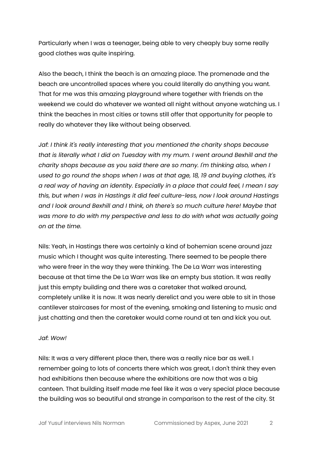Particularly when I was a teenager, being able to very cheaply buy some really good clothes was quite inspiring.

Also the beach, I think the beach is an amazing place. The promenade and the beach are uncontrolled spaces where you could literally do anything you want. That for me was this amazing playground where together with friends on the weekend we could do whatever we wanted all night without anyone watching us. I think the beaches in most cities or towns still offer that opportunity for people to really do whatever they like without being observed.

*Jaf: I think it's really interesting that you mentioned the charity shops because that is literally what I did on Tuesday with my mum. I went around Bexhill and the charity shops because as you said there are so many. I'm thinking also, when I used to go round the shops when I was at that age, 18, 19 and buying clothes, it's a real way of having an identity. Especially in a place that could feel, I mean I say this, but when I was in Hastings it did feel culture-less, now I look around Hastings and I look around Bexhill and I think, oh there's so much culture here! Maybe that was more to do with my perspective and less to do with what was actually going on at the time.*

Nils: Yeah, in Hastings there was certainly a kind of bohemian scene around jazz music which I thought was quite interesting. There seemed to be people there who were freer in the way they were thinking. The De La Warr was interesting because at that time the De La Warr was like an empty bus station. It was really just this empty building and there was a caretaker that walked around, completely unlike it is now. It was nearly derelict and you were able to sit in those cantilever staircases for most of the evening, smoking and listening to music and just chatting and then the caretaker would come round at ten and kick you out.

#### *Jaf: Wow!*

Nils: It was a very different place then, there was a really nice bar as well. I remember going to lots of concerts there which was great, I don't think they even had exhibitions then because where the exhibitions are now that was a big canteen. That building itself made me feel like it was a very special place because the building was so beautiful and strange in comparison to the rest of the city. St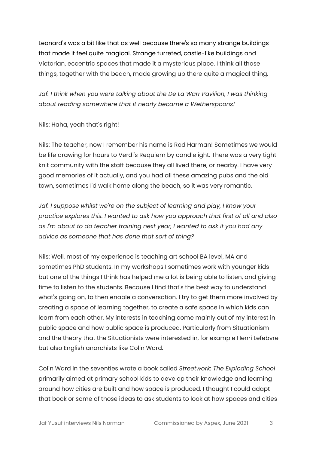Leonard's was a bit like that as well because there's so many strange buildings that made it feel quite magical. Strange turreted, castle-like buildings and Victorian, eccentric spaces that made it a mysterious place. I think all those things, together with the beach, made growing up there quite a magical thing.

*Jaf: I think when you were talking about the De La Warr Pavilion, I was thinking about reading somewhere that it nearly became a Wetherspoons!*

Nils: Haha, yeah that's right!

Nils: The teacher, now I remember his name is Rod Harman! Sometimes we would be life drawing for hours to Verdi's Requiem by candlelight. There was a very tight knit community with the staff because they all lived there, or nearby. I have very good memories of it actually, and you had all these amazing pubs and the old town, sometimes I'd walk home along the beach, so it was very romantic.

*Jaf: I suppose whilst we're on the subject of learning and play, I know your practice explores this. I wanted to ask how you approach that first of all and also as I'm about to do teacher training next year, I wanted to ask if you had any advice as someone that has done that sort of thing?*

Nils: Well, most of my experience is teaching art school BA level, MA and sometimes PhD students. In my workshops I sometimes work with younger kids but one of the things I think has helped me a lot is being able to listen, and giving time to listen to the students. Because I find that's the best way to understand what's going on, to then enable a conversation. I try to get them more involved by creating a space of learning together, to create a safe space in which kids can learn from each other. My interests in teaching come mainly out of my interest in public space and how public space is produced. Particularly from Situationism and the theory that the Situationists were interested in, for example Henri Lefebvre but also English anarchists like Colin Ward.

Colin Ward in the seventies wrote a book called *Streetwork: The Exploding School* primarily aimed at primary school kids to develop their knowledge and learning around how cities are built and how space is produced. I thought I could adapt that book or some of those ideas to ask students to look at how spaces and cities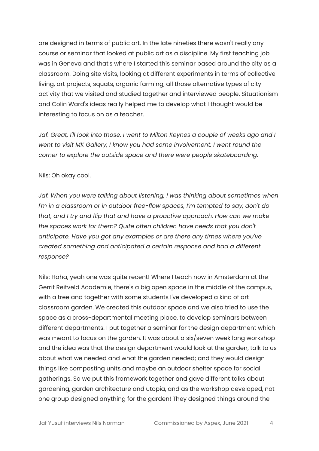are designed in terms of public art. In the late nineties there wasn't really any course or seminar that looked at public art as a discipline. My first teaching job was in Geneva and that's where I started this seminar based around the city as a classroom. Doing site visits, looking at different experiments in terms of collective living, art projects, squats, organic farming, all those alternative types of city activity that we visited and studied together and interviewed people. Situationism and Colin Ward's ideas really helped me to develop what I thought would be interesting to focus on as a teacher.

*Jaf: Great, I'll look into those. I went to Milton Keynes a couple of weeks ago and I went to visit MK Gallery, I know you had some involvement. I went round the corner to explore the outside space and there were people skateboarding.*

Nils: Oh okay cool.

*Jaf: When you were talking about listening, I was thinking about sometimes when I'm in a classroom or in outdoor free-flow spaces, I'm tempted to say, don't do that, and I try and flip that and have a proactive approach. How can we make the spaces work for them? Quite often children have needs that you don't anticipate. Have you got any examples or are there any times where you've created something and anticipated a certain response and had a different response?*

Nils: Haha, yeah one was quite recent! Where I teach now in Amsterdam at the Gerrit Reitveld Academie, there's a big open space in the middle of the campus, with a tree and together with some students I've developed a kind of art classroom garden. We created this outdoor space and we also tried to use the space as a cross-departmental meeting place, to develop seminars between different departments. I put together a seminar for the design department which was meant to focus on the garden. It was about a six/seven week long workshop and the idea was that the design department would look at the garden, talk to us about what we needed and what the garden needed; and they would design things like composting units and maybe an outdoor shelter space for social gatherings. So we put this framework together and gave different talks about gardening, garden architecture and utopia, and as the workshop developed, not one group designed anything for the garden! They designed things around the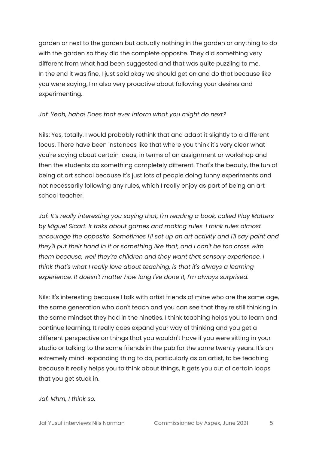garden or next to the garden but actually nothing in the garden or anything to do with the garden so they did the complete opposite. They did something very different from what had been suggested and that was quite puzzling to me. In the end it was fine, I just said okay we should get on and do that because like you were saying, I'm also very proactive about following your desires and experimenting.

#### *Jaf: Yeah, haha! Does that ever inform what you might do next?*

Nils: Yes, totally. I would probably rethink that and adapt it slightly to a different focus. There have been instances like that where you think it's very clear what you're saying about certain ideas, in terms of an assignment or workshop and then the students do something completely different. That's the beauty, the fun of being at art school because it's just lots of people doing funny experiments and not necessarily following any rules, which I really enjoy as part of being an art school teacher.

*Jaf: It's really interesting you saying that, I'm reading a book, called Play Matters by Miguel Sicart. It talks about games and making rules. I think rules almost encourage the opposite. Sometimes I'll set up an art activity and I'll say paint and they'll put their hand in it or something like that, and I can't be too cross with them because, well they're children and they want that sensory experience. I think that's what I really love about teaching, is that it's always a learning experience. It doesn't matter how long I've done it, I'm always surprised.*

Nils: It's interesting because I talk with artist friends of mine who are the same age, the same generation who don't teach and you can see that they're still thinking in the same mindset they had in the nineties. I think teaching helps you to learn and continue learning. It really does expand your way of thinking and you get a different perspective on things that you wouldn't have if you were sitting in your studio or talking to the same friends in the pub for the same twenty years. It's an extremely mind-expanding thing to do, particularly as an artist, to be teaching because it really helps you to think about things, it gets you out of certain loops that you get stuck in.

#### *Jaf: Mhm, I think so.*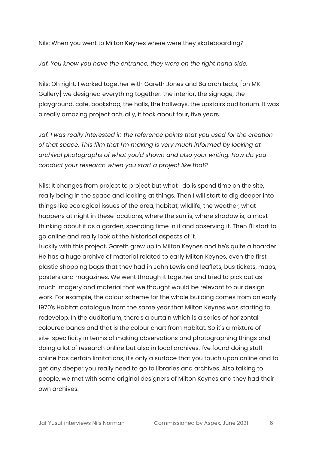Nils: When you went to Milton Keynes where were they skateboarding?

#### *Jaf: You know you have the entrance, they were on the right hand side.*

Nils: Oh right. I worked together with Gareth Jones and 6a architects, [on MK Gallery] we designed everything together: the interior, the signage, the playground, cafe, bookshop, the halls, the hallways, the upstairs auditorium. It was a really amazing project actually, it took about four, five years.

*Jaf: I was really interested in the reference points that you used for the creation of that space. This film that I'm making is very much informed by looking at archival photographs of what you'd shown and also your writing. How do you conduct your research when you start a project like that?*

Nils: It changes from project to project but what I do is spend time on the site, really being in the space and looking at things. Then I will start to dig deeper into things like ecological issues of the area, habitat, wildlife, the weather, what happens at night in these locations, where the sun is, where shadow is; almost thinking about it as a garden, spending time in it and observing it. Then I'll start to go online and really look at the historical aspects of it.

Luckily with this project, Gareth grew up in Milton Keynes and he's quite a hoarder. He has a huge archive of material related to early Milton Keynes, even the first plastic shopping bags that they had in John Lewis and leaflets, bus tickets, maps, posters and magazines. We went through it together and tried to pick out as much imagery and material that we thought would be relevant to our design work. For example, the colour scheme for the whole building comes from an early 1970's Habitat catalogue from the same year that Milton Keynes was starting to redevelop. In the auditorium, there's a curtain which is a series of horizontal coloured bands and that is the colour chart from Habitat. So it's a mixture of site-specificity in terms of making observations and photographing things and doing a lot of research online but also in local archives. I've found doing stuff online has certain limitations, it's only a surface that you touch upon online and to get any deeper you really need to go to libraries and archives. Also talking to people, we met with some original designers of Milton Keynes and they had their own archives.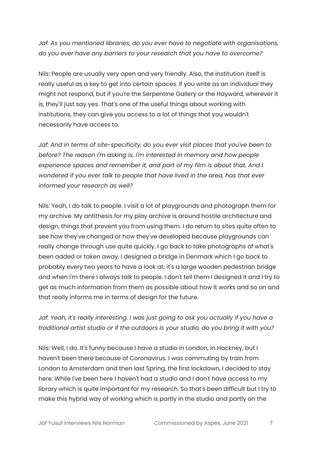*Jaf: As you mentioned libraries, do you ever have to negotiate with organisations, do you ever have any barriers to your research that you have to overcome?*

Nils: People are usually very open and very friendly. Also, the institution itself is really useful as a key to get into certain spaces. If you write as an individual they might not respond, but if you're the Serpentine Gallery or the Hayward, wherever it is, they'll just say yes. That's one of the useful things about working with institutions, they can give you access to a lot of things that you wouldn't necessarily have access to.

*Jaf: And in terms of site-specificity, do you ever visit places that you've been to before? The reason I'm asking is, I'm interested in memory and how people experience spaces and remember it, and part of my film is about that. And I wondered if you ever talk to people that have lived in the area, has that ever informed your research as well?*

Nils: Yeah, I do talk to people. I visit a lot of playgrounds and photograph them for my archive. My antithesis for my play archive is around hostile architecture and design, things that prevent you from using them. I do return to sites quite often to see how they've changed or how they've developed because playgrounds can really change through use quite quickly. I go back to take photographs of what's been added or taken away. I designed a bridge in Denmark which I go back to probably every two years to have a look at; it's a large wooden pedestrian bridge and when I'm there I always talk to people. I don't tell them I designed it and I try to get as much information from them as possible about how it works and so on and that really informs me in terms of design for the future.

### *Jaf: Yeah, it's really interesting. I was just going to ask you actually if you have a traditional artist studio or if the outdoors is your studio, do you bring it with you?*

Nils: Well, I do. It's funny because I have a studio in London, in Hackney, but I haven't been there because of Coronavirus. I was commuting by train from London to Amsterdam and then last Spring, the first lockdown, I decided to stay here. While I've been here I haven't had a studio and I don't have access to my library which is quite important for my research. So that's been difficult but I try to make this hybrid way of working which is partly in the studio and partly on the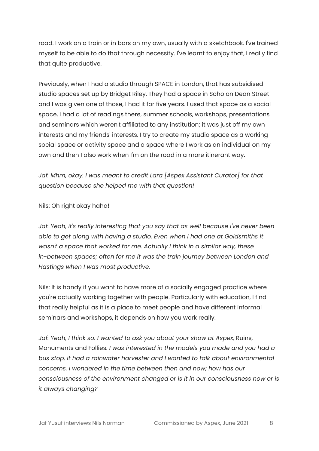road. I work on a train or in bars on my own, usually with a sketchbook. I've trained myself to be able to do that through necessity. I've learnt to enjoy that, I really find that quite productive.

Previously, when I had a studio through SPACE in London, that has subsidised studio spaces set up by Bridget Riley. They had a space in Soho on Dean Street and I was given one of those, I had it for five years. I used that space as a social space, I had a lot of readings there, summer schools, workshops, presentations and seminars which weren't affiliated to any institution; it was just off my own interests and my friends' interests. I try to create my studio space as a working social space or activity space and a space where I work as an individual on my own and then I also work when I'm on the road in a more itinerant way.

*Jaf: Mhm, okay. I was meant to credit Lara [Aspex Assistant Curator] for that question because she helped me with that question!*

Nils: Oh right okay haha!

*Jaf: Yeah, it's really interesting that you say that as well because I've never been able to get along with having a studio. Even when I had one at Goldsmiths it wasn't a space that worked for me. Actually I think in a similar way, these in-between spaces; often for me it was the train journey between London and Hastings when I was most productive.*

Nils: It is handy if you want to have more of a socially engaged practice where you're actually working together with people. Particularly with education, I find that really helpful as it is a place to meet people and have different informal seminars and workshops, it depends on how you work really.

*Jaf: Yeah, I think so. I wanted to ask you about your show at Aspex,* Ruins, Monuments and Follies. *I was interested in the models you made and you had a bus stop, it had a rainwater harvester and I wanted to talk about environmental concerns. I wondered in the time between then and now; how has our consciousness of the environment changed or is it in our consciousness now or is it always changing?*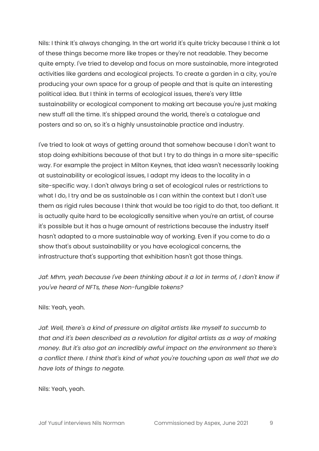Nils: I think It's always changing. In the art world it's quite tricky because I think a lot of these things become more like tropes or they're not readable. They become quite empty. I've tried to develop and focus on more sustainable, more integrated activities like gardens and ecological projects. To create a garden in a city, you're producing your own space for a group of people and that is quite an interesting political idea. But I think in terms of ecological issues, there's very little sustainability or ecological component to making art because you're just making new stuff all the time. It's shipped around the world, there's a catalogue and posters and so on, so it's a highly unsustainable practice and industry.

I've tried to look at ways of getting around that somehow because I don't want to stop doing exhibitions because of that but I try to do things in a more site-specific way. For example the project in Milton Keynes, that idea wasn't necessarily looking at sustainability or ecological issues, I adapt my ideas to the locality in a site-specific way. I don't always bring a set of ecological rules or restrictions to what I do, I try and be as sustainable as I can within the context but I don't use them as rigid rules because I think that would be too rigid to do that, too defiant. It is actually quite hard to be ecologically sensitive when you're an artist, of course it's possible but it has a huge amount of restrictions because the industry itself hasn't adapted to a more sustainable way of working. Even if you come to do a show that's about sustainability or you have ecological concerns, the infrastructure that's supporting that exhibition hasn't got those things.

*Jaf: Mhm, yeah because I've been thinking about it a lot in terms of, I don't know if you've heard of NFTs, these Non-fungible tokens?*

#### Nils: Yeah, yeah.

*Jaf: Well, there's a kind of pressure on digital artists like myself to succumb to that and it's been described as a revolution for digital artists as a way of making money. But it's also got an incredibly awful impact on the environment so there's a conflict there. I think that's kind of what you're touching upon as well that we do have lots of things to negate.*

Nils: Yeah, yeah.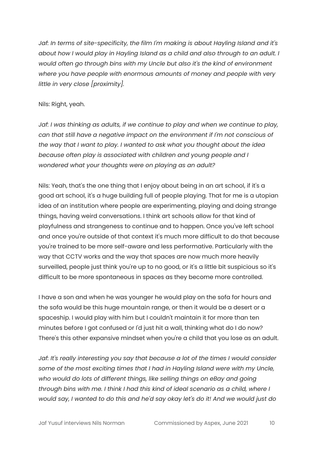*Jaf: In terms of site-specificity, the film I'm making is about Hayling Island and it's about how I would play in Hayling Island as a child and also through to an adult. I would often go through bins with my Uncle but also it's the kind of environment where you have people with enormous amounts of money and people with very little in very close [proximity].*

#### Nils: Right, yeah.

*Jaf: I was thinking as adults, if we continue to play and when we continue to play, can that still have a negative impact on the environment if I'm not conscious of the way that I want to play. I wanted to ask what you thought about the idea because often play is associated with children and young people and I wondered what your thoughts were on playing as an adult?*

Nils: Yeah, that's the one thing that I enjoy about being in an art school, if it's a good art school, it's a huge building full of people playing. That for me is a utopian idea of an institution where people are experimenting, playing and doing strange things, having weird conversations. I think art schools allow for that kind of playfulness and strangeness to continue and to happen. Once you've left school and once you're outside of that context it's much more difficult to do that because you're trained to be more self-aware and less performative. Particularly with the way that CCTV works and the way that spaces are now much more heavily surveilled, people just think you're up to no good, or it's a little bit suspicious so it's difficult to be more spontaneous in spaces as they become more controlled.

I have a son and when he was younger he would play on the sofa for hours and the sofa would be this huge mountain range, or then it would be a desert or a spaceship. I would play with him but I couldn't maintain it for more than ten minutes before I got confused or I'd just hit a wall, thinking what do I do now? There's this other expansive mindset when you're a child that you lose as an adult.

*Jaf: It's really interesting you say that because a lot of the times I would consider some of the most exciting times that I had in Hayling Island were with my Uncle, who would do lots of different things, like selling things on eBay and going through bins with me. I think I had this kind of ideal scenario as a child, where I would say, I wanted to do this and he'd say okay let's do it! And we would just do*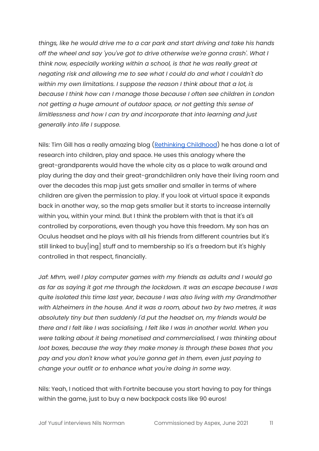*things, like he would drive me to a car park and start driving and take his hands off the wheel and say 'you've got to drive otherwise we're gonna crash'. What I think now, especially working within a school, is that he was really great at negating risk and allowing me to see what I could do and what I couldn't do within my own limitations. I suppose the reason I think about that a lot, is because I think how can I manage those because I often see children in London not getting a huge amount of outdoor space, or not getting this sense of limitlessness and how I can try and incorporate that into learning and just generally into life I suppose.*

Nils: Tim Gill has a really amazing blog (Rethinking [Childhood\)](https://rethinkingchildhood.com/) he has done a lot of research into children, play and space. He uses this analogy where the great-grandparents would have the whole city as a place to walk around and play during the day and their great-grandchildren only have their living room and over the decades this map just gets smaller and smaller in terms of where children are given the permission to play. If you look at virtual space it expands back in another way, so the map gets smaller but it starts to increase internally within you, within your mind. But I think the problem with that is that it's all controlled by corporations, even though you have this freedom. My son has an Oculus headset and he plays with all his friends from different countries but it's still linked to buy[ing] stuff and to membership so it's a freedom but it's highly controlled in that respect, financially.

*Jaf: Mhm, well I play computer games with my friends as adults and I would go as far as saying it got me through the lockdown. It was an escape because I was quite isolated this time last year, because I was also living with my Grandmother with Alzheimers in the house. And it was a room, about two by two metres, it was absolutely tiny but then suddenly I'd put the headset on, my friends would be there and I felt like I was socialising, I felt like I was in another world. When you were talking about it being monetised and commercialised, I was thinking about loot boxes, because the way they make money is through these boxes that you pay and you don't know what you're gonna get in them, even just paying to change your outfit or to enhance what you're doing in some way.*

Nils: Yeah, I noticed that with Fortnite because you start having to pay for things within the game, just to buy a new backpack costs like 90 euros!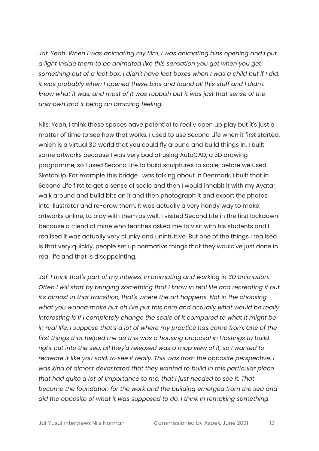*Jaf: Yeah. When I was animating my film, I was animating bins opening and I put a light inside them to be animated like this sensation you get when you get* something out of a loot box. I didn't have loot boxes when I was a child but if I did, *it was probably when I opened these bins and found all this stuff and I didn't know what it was, and most of it was rubbish but it was just that sense of the unknown and it being an amazing feeling.*

Nils: Yeah, I think these spaces have potential to really open up play but it's just a matter of time to see how that works. I used to use Second Life when it first started, which is a virtual 3D world that you could fly around and build things in. I built some artworks because I was very bad at using AutoCAD, a 3D drawing programme, so I used Second Life to build sculptures to scale, before we used SketchUp. For example this bridge I was talking about in Denmark, I built that in Second Life first to get a sense of scale and then I would inhabit it with my Avatar, walk around and build bits on it and then photograph it and export the photos into Illustrator and re-draw them. It was actually a very handy way to make artworks online, to play with them as well. I visited Second Life in the first lockdown because a friend of mine who teaches asked me to visit with his students and I realised it was actually very clunky and unintuitive. But one of the things I realised is that very quickly, people set up normative things that they would've just done in real life and that is disappointing.

*Jaf: I think that's part of my interest in animating and working in 3D animation. Often I will start by bringing something that I know in real life and recreating it but it's almost in that transition, that's where the art happens. Not in the choosing what you wanna make but oh I've put this here and actually what would be really interesting is if I completely change the scale of it compared to what it might be in real life. I suppose that's a lot of where my practice has come from. One of the first things that helped me do this was a housing proposal in Hastings to build right out into the sea, all they'd released was a map view of it, so I wanted to recreate it like you said, to see it really. This was from the opposite perspective, I was kind of almost devastated that they wanted to build in this particular place that had quite a lot of importance to me, that I just needed to see it. That became the foundation for the work and the building emerged from the sea and did the opposite of what it was supposed to do. I think in remaking something*